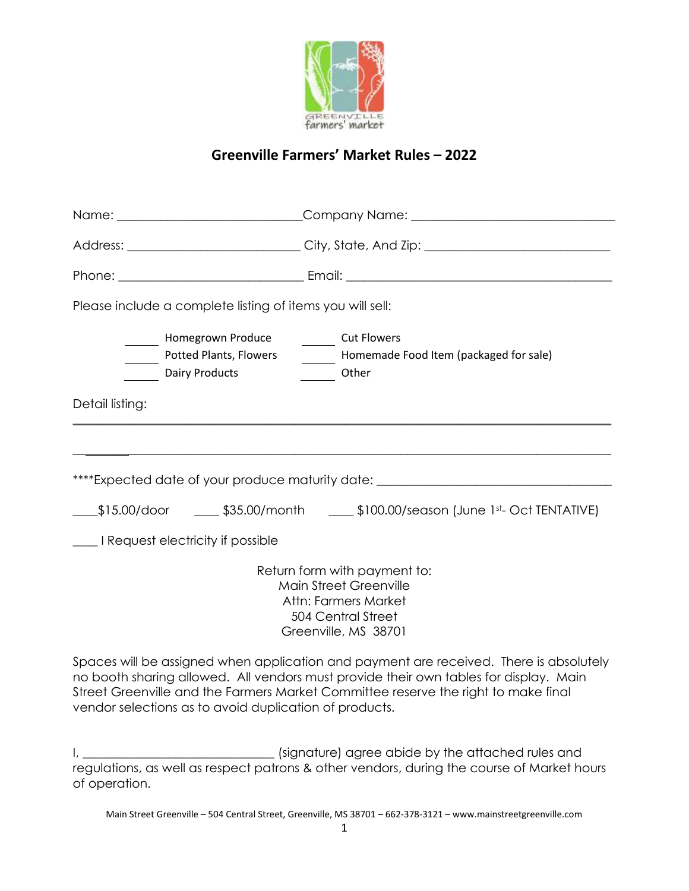

# **Greenville Farmers' Market Rules – 2022**

|                                                                                                                                                                                                                                                                       | Name: _____________________________Company Name: _______________________________         |
|-----------------------------------------------------------------------------------------------------------------------------------------------------------------------------------------------------------------------------------------------------------------------|------------------------------------------------------------------------------------------|
|                                                                                                                                                                                                                                                                       |                                                                                          |
|                                                                                                                                                                                                                                                                       |                                                                                          |
| Please include a complete listing of items you will sell:                                                                                                                                                                                                             |                                                                                          |
| Homegrown Produce <b>Fig. 2018</b> Cut Flowers<br><b>Dairy Products</b>                                                                                                                                                                                               | Potted Plants, Flowers _________ Homemade Food Item (packaged for sale)<br>Other         |
| Detail listing:                                                                                                                                                                                                                                                       |                                                                                          |
|                                                                                                                                                                                                                                                                       |                                                                                          |
| ****Expected date of your produce maturity date: _______________________________                                                                                                                                                                                      |                                                                                          |
|                                                                                                                                                                                                                                                                       | ____\$15.00/door   _____ \$35.00/month   _____ \$100.00/season (June 1st- Oct TENTATIVE) |
| I Request electricity if possible                                                                                                                                                                                                                                     |                                                                                          |
| Return form with payment to:<br><b>Main Street Greenville</b><br>Attn: Farmers Market<br>504 Central Street<br>Greenville, MS 38701                                                                                                                                   |                                                                                          |
| Spaces will be assigned when application and payment are received. There is absolutely<br>no booth sharing allowed. All vendors must provide their own tables for display. Main<br>Street Greenville and the Farmers Market Committee reserve the right to make final |                                                                                          |

I, \_\_\_\_\_\_\_\_\_\_\_\_\_\_\_\_\_\_\_\_\_\_\_\_\_\_\_\_\_\_\_ (signature) agree abide by the attached rules and regulations, as well as respect patrons & other vendors, during the course of Market hours of operation.

vendor selections as to avoid duplication of products.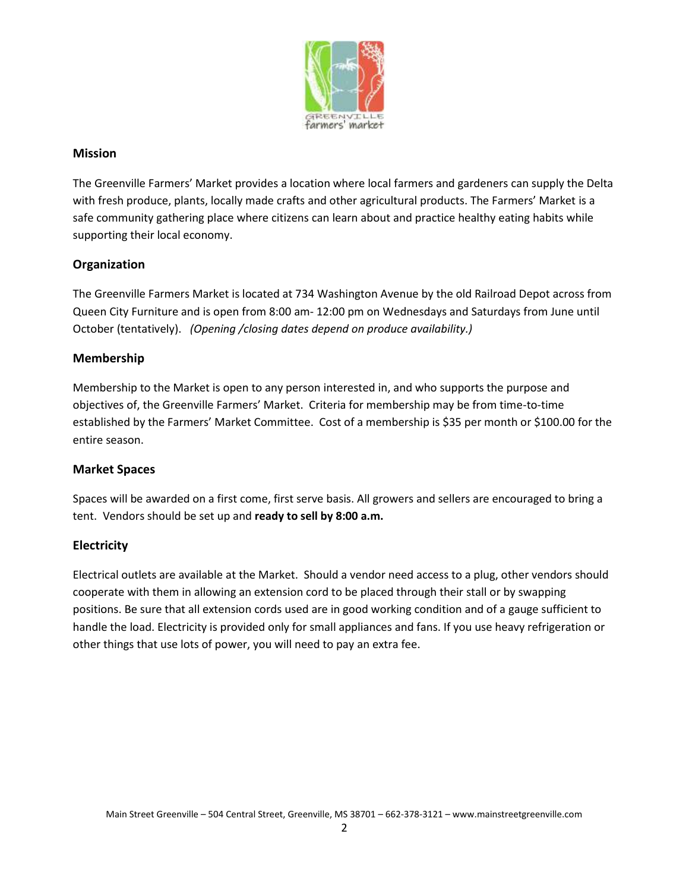

## **Mission**

The Greenville Farmers' Market provides a location where local farmers and gardeners can supply the Delta with fresh produce, plants, locally made crafts and other agricultural products. The Farmers' Market is a safe community gathering place where citizens can learn about and practice healthy eating habits while supporting their local economy.

## **Organization**

The Greenville Farmers Market is located at 734 Washington Avenue by the old Railroad Depot across from Queen City Furniture and is open from 8:00 am- 12:00 pm on Wednesdays and Saturdays from June until October (tentatively). *(Opening /closing dates depend on produce availability.)*

### **Membership**

Membership to the Market is open to any person interested in, and who supports the purpose and objectives of, the Greenville Farmers' Market. Criteria for membership may be from time-to-time established by the Farmers' Market Committee. Cost of a membership is \$35 per month or \$100.00 for the entire season.

#### **Market Spaces**

Spaces will be awarded on a first come, first serve basis. All growers and sellers are encouraged to bring a tent. Vendors should be set up and **ready to sell by 8:00 a.m.**

#### **Electricity**

Electrical outlets are available at the Market. Should a vendor need access to a plug, other vendors should cooperate with them in allowing an extension cord to be placed through their stall or by swapping positions. Be sure that all extension cords used are in good working condition and of a gauge sufficient to handle the load. Electricity is provided only for small appliances and fans. If you use heavy refrigeration or other things that use lots of power, you will need to pay an extra fee.